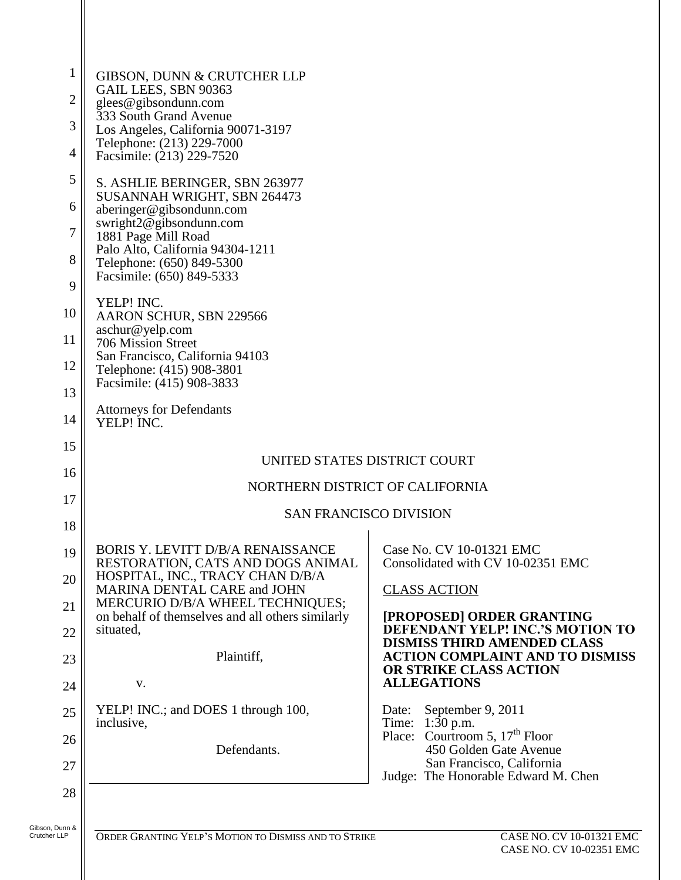| $\mathbf 1$<br>$\overline{2}$<br>3<br>$\overline{4}$ | GIBSON, DUNN & CRUTCHER LLP<br>GAIL LEES, SBN 90363<br>glees@gibsondunn.com<br>333 South Grand Avenue<br>Los Angeles, California 90071-3197<br>Telephone: (213) 229-7000<br>Facsimile: (213) 229-7520                                                                                                                                                                                                                                                                     |                                                                                                                                                                                                                                                                                                                                                                                                                                                                                    |
|------------------------------------------------------|---------------------------------------------------------------------------------------------------------------------------------------------------------------------------------------------------------------------------------------------------------------------------------------------------------------------------------------------------------------------------------------------------------------------------------------------------------------------------|------------------------------------------------------------------------------------------------------------------------------------------------------------------------------------------------------------------------------------------------------------------------------------------------------------------------------------------------------------------------------------------------------------------------------------------------------------------------------------|
| 5<br>6<br>7<br>8<br>9<br>10<br>11<br>12<br>13<br>14  | S. ASHLIE BERINGER, SBN 263977<br>SUSANNAH WRIGHT, SBN 264473<br>aberinger@gibsondunn.com<br>swright2@gibsondunn.com<br>1881 Page Mill Road<br>Palo Alto, California 94304-1211<br>Telephone: (650) 849-5300<br>Facsimile: (650) 849-5333<br>YELP! INC.<br>AARON SCHUR, SBN 229566<br>aschur@yelp.com<br>706 Mission Street<br>San Francisco, California 94103<br>Telephone: (415) 908-3801<br>Facsimile: (415) 908-3833<br><b>Attorneys for Defendants</b><br>YELP! INC. |                                                                                                                                                                                                                                                                                                                                                                                                                                                                                    |
| 15<br>16<br>17<br>18                                 | UNITED STATES DISTRICT COURT<br>NORTHERN DISTRICT OF CALIFORNIA<br><b>SAN FRANCISCO DIVISION</b>                                                                                                                                                                                                                                                                                                                                                                          |                                                                                                                                                                                                                                                                                                                                                                                                                                                                                    |
| 19<br>20<br>21<br>22<br>23<br>24<br>25<br>26<br>27   | BORIS Y. LEVITT D/B/A RENAISSANCE<br>RESTORATION, CATS AND DOGS ANIMAL<br>HOSPITAL, INC., TRACY CHAN D/B/A<br>MARINA DENTAL CARE and JOHN<br>MERCURIO D/B/A WHEEL TECHNIQUES;<br>on behalf of themselves and all others similarly<br>situated,<br>Plaintiff,<br>V.<br>YELP! INC.; and DOES 1 through 100,<br>inclusive,<br>Defendants.                                                                                                                                    | Case No. CV 10-01321 EMC<br>Consolidated with CV 10-02351 EMC<br><b>CLASS ACTION</b><br>[PROPOSED] ORDER GRANTING<br>DEFENDANT YELP! INC.'S MOTION TO<br><b>DISMISS THIRD AMENDED CLASS</b><br><b>ACTION COMPLAINT AND TO DISMISS</b><br>OR STRIKE CLASS ACTION<br><b>ALLEGATIONS</b><br>September 9, 2011<br>Date:<br>Time: 1:30 p.m.<br>Place: Courtroom 5, 17 <sup>th</sup> Floor<br>450 Golden Gate Avenue<br>San Francisco, California<br>Judge: The Honorable Edward M. Chen |
| 28                                                   |                                                                                                                                                                                                                                                                                                                                                                                                                                                                           |                                                                                                                                                                                                                                                                                                                                                                                                                                                                                    |